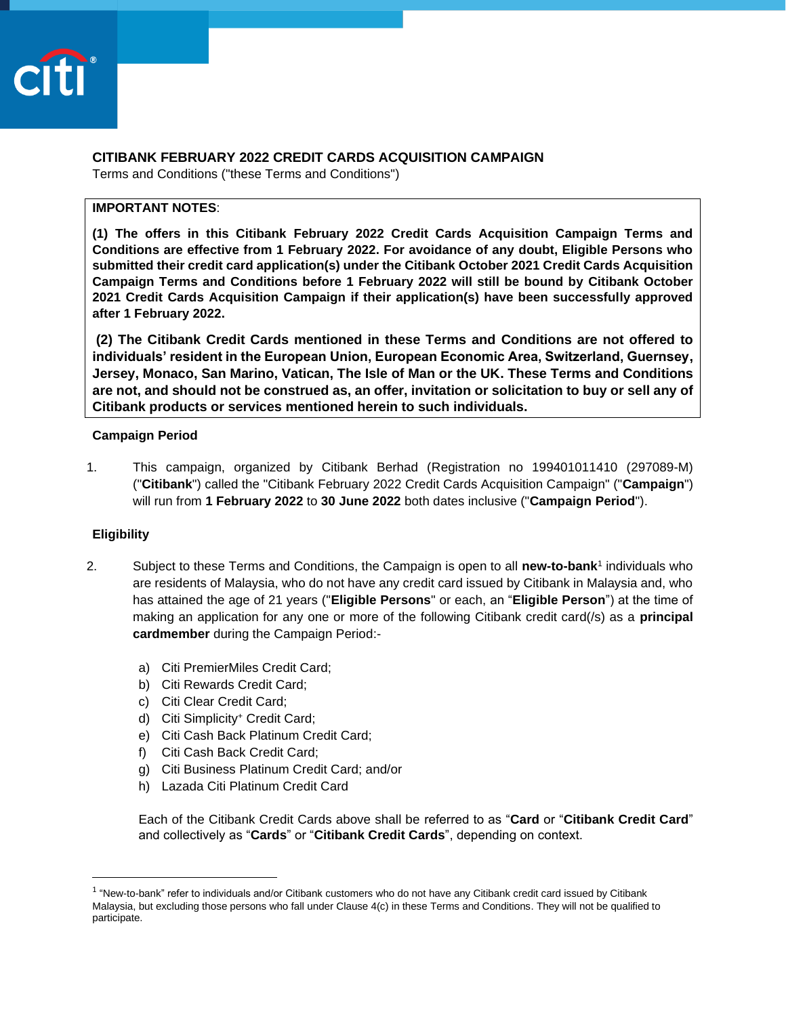

# **CITIBANK FEBRUARY 2022 CREDIT CARDS ACQUISITION CAMPAIGN**

Terms and Conditions ("these Terms and Conditions")

## **IMPORTANT NOTES**:

**(1) The offers in this Citibank February 2022 Credit Cards Acquisition Campaign Terms and Conditions are effective from 1 February 2022. For avoidance of any doubt, Eligible Persons who submitted their credit card application(s) under the Citibank October 2021 Credit Cards Acquisition Campaign Terms and Conditions before 1 February 2022 will still be bound by Citibank October 2021 Credit Cards Acquisition Campaign if their application(s) have been successfully approved after 1 February 2022.**

**(2) The Citibank Credit Cards mentioned in these Terms and Conditions are not offered to individuals' resident in the European Union, European Economic Area, Switzerland, Guernsey, Jersey, Monaco, San Marino, Vatican, The Isle of Man or the UK. These Terms and Conditions are not, and should not be construed as, an offer, invitation or solicitation to buy or sell any of Citibank products or services mentioned herein to such individuals.**

### **Campaign Period**

1. This campaign, organized by Citibank Berhad (Registration no 199401011410 (297089-M) ("**Citibank**") called the "Citibank February 2022 Credit Cards Acquisition Campaign" ("**Campaign**") will run from **1 February 2022** to **30 June 2022** both dates inclusive ("**Campaign Period**").

### **Eligibility**

- 2. Subject to these Terms and Conditions, the Campaign is open to all **new-to-bank**<sup>1</sup> individuals who are residents of Malaysia, who do not have any credit card issued by Citibank in Malaysia and, who has attained the age of 21 years ("**Eligible Persons**" or each, an "**Eligible Person**") at the time of making an application for any one or more of the following Citibank credit card(/s) as a **principal cardmember** during the Campaign Period:
	- a) Citi PremierMiles Credit Card;
	- b) Citi Rewards Credit Card;
	- c) Citi Clear Credit Card;
	- d) Citi Simplicity<sup>+</sup> Credit Card;
	- e) Citi Cash Back Platinum Credit Card;
	- f) Citi Cash Back Credit Card;
	- g) Citi Business Platinum Credit Card; and/or
	- h) Lazada Citi Platinum Credit Card

Each of the Citibank Credit Cards above shall be referred to as "**Card** or "**Citibank Credit Card**" and collectively as "**Cards**" or "**Citibank Credit Cards**", depending on context.

<sup>&</sup>lt;sup>1</sup> "New-to-bank" refer to individuals and/or Citibank customers who do not have any Citibank credit card issued by Citibank Malaysia, but excluding those persons who fall under Clause 4(c) in these Terms and Conditions. They will not be qualified to participate.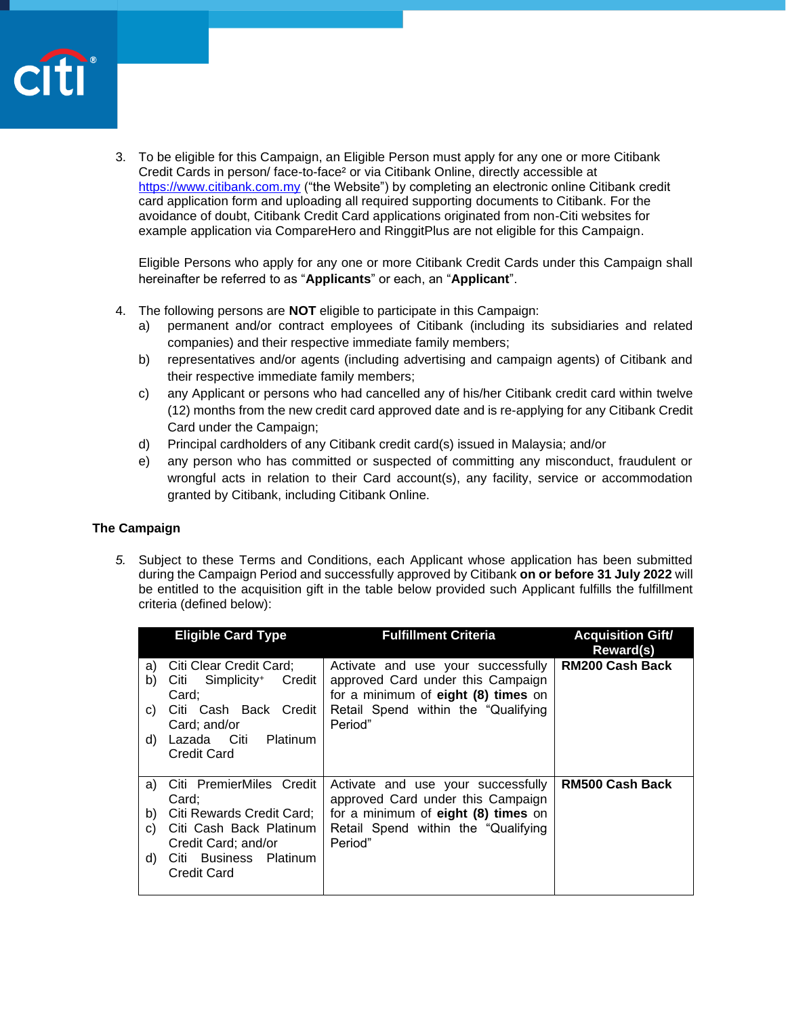

3. To be eligible for this Campaign, an Eligible Person must apply for any one or more Citibank Credit Cards in person/ face-to-face² or via Citibank Online, directly accessible at [https://www.citibank.com.my](https://www.citibank.com.my/) ("the Website") by completing an electronic online Citibank credit card application form and uploading all required supporting documents to Citibank. For the avoidance of doubt, Citibank Credit Card applications originated from non-Citi websites for example application via CompareHero and RinggitPlus are not eligible for this Campaign.

Eligible Persons who apply for any one or more Citibank Credit Cards under this Campaign shall hereinafter be referred to as "**Applicants**" or each, an "**Applicant**".

- 4. The following persons are **NOT** eligible to participate in this Campaign:
	- a) permanent and/or contract employees of Citibank (including its subsidiaries and related companies) and their respective immediate family members;
	- b) representatives and/or agents (including advertising and campaign agents) of Citibank and their respective immediate family members;
	- c) any Applicant or persons who had cancelled any of his/her Citibank credit card within twelve (12) months from the new credit card approved date and is re-applying for any Citibank Credit Card under the Campaign;
	- d) Principal cardholders of any Citibank credit card(s) issued in Malaysia; and/or
	- e) any person who has committed or suspected of committing any misconduct, fraudulent or wrongful acts in relation to their Card account(s), any facility, service or accommodation granted by Citibank, including Citibank Online.

## **The Campaign**

*5.* Subject to these Terms and Conditions, each Applicant whose application has been submitted during the Campaign Period and successfully approved by Citibank **on or before 31 July 2022** will be entitled to the acquisition gift in the table below provided such Applicant fulfills the fulfillment criteria (defined below):

|    | <b>Eligible Card Type</b>                       | <b>Fulfillment Criteria</b>                                              | <b>Acquisition Gift/</b><br>Reward(s) |
|----|-------------------------------------------------|--------------------------------------------------------------------------|---------------------------------------|
| a) | Citi Clear Credit Card;                         | Activate and use your successfully                                       | <b>RM200 Cash Back</b>                |
| b) | Citi Simplicity <sup>+</sup><br>Credit<br>Card; | approved Card under this Campaign<br>for a minimum of eight (8) times on |                                       |
| C) | Citi Cash Back Credit                           | Retail Spend within the "Qualifying                                      |                                       |
|    | Card; and/or                                    | Period"                                                                  |                                       |
| d) | Lazada Citi<br>Platinum                         |                                                                          |                                       |
|    | <b>Credit Card</b>                              |                                                                          |                                       |
|    |                                                 |                                                                          |                                       |
| a) | Citi PremierMiles Credit                        | Activate and use your successfully                                       | <b>RM500 Cash Back</b>                |
|    | Card;                                           | approved Card under this Campaign                                        |                                       |
| b) | Citi Rewards Credit Card;                       | for a minimum of eight (8) times on                                      |                                       |
| C) | Citi Cash Back Platinum                         | Retail Spend within the "Qualifying                                      |                                       |
|    | Credit Card; and/or                             | Period"                                                                  |                                       |
| d) | Business Platinum<br>Citi                       |                                                                          |                                       |
|    | <b>Credit Card</b>                              |                                                                          |                                       |
|    |                                                 |                                                                          |                                       |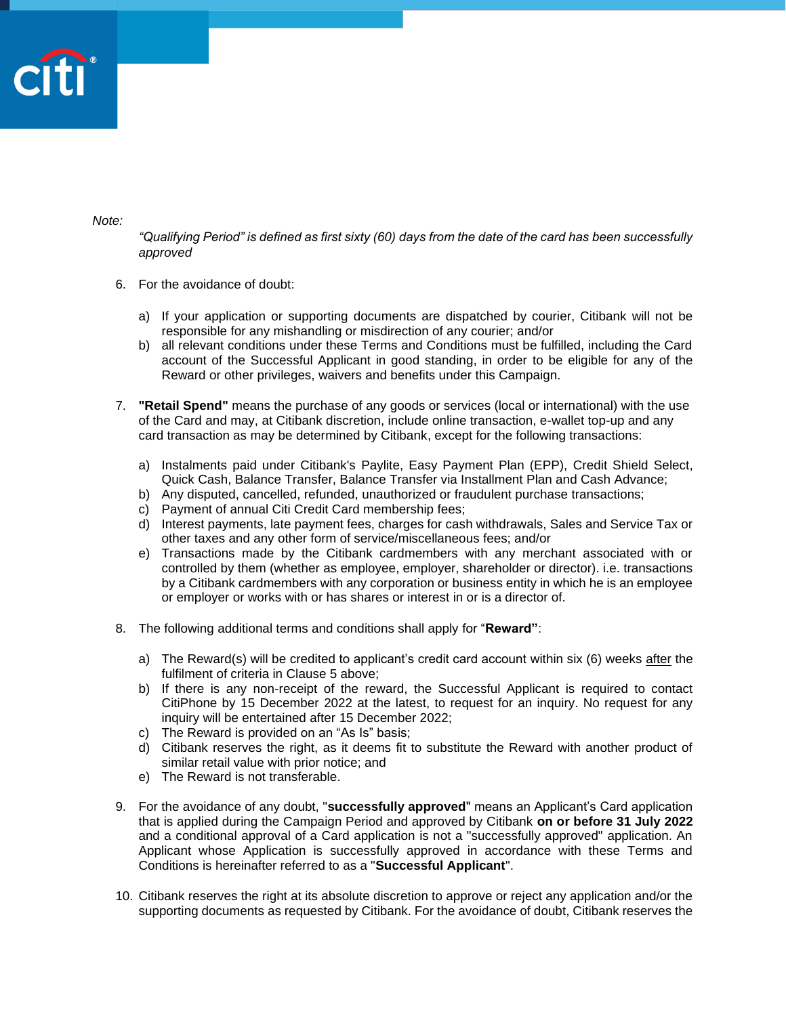

*Note:* 

*"Qualifying Period" is defined as first sixty (60) days from the date of the card has been successfully approved*

- 6. For the avoidance of doubt:
	- a) If your application or supporting documents are dispatched by courier, Citibank will not be responsible for any mishandling or misdirection of any courier; and/or
	- b) all relevant conditions under these Terms and Conditions must be fulfilled, including the Card account of the Successful Applicant in good standing, in order to be eligible for any of the Reward or other privileges, waivers and benefits under this Campaign.
- 7. **"Retail Spend"** means the purchase of any goods or services (local or international) with the use of the Card and may, at Citibank discretion, include online transaction, e-wallet top-up and any card transaction as may be determined by Citibank, except for the following transactions:
	- a) Instalments paid under Citibank's Paylite, Easy Payment Plan (EPP), Credit Shield Select, Quick Cash, Balance Transfer, Balance Transfer via Installment Plan and Cash Advance;
	- b) Any disputed, cancelled, refunded, unauthorized or fraudulent purchase transactions;
	- c) Payment of annual Citi Credit Card membership fees;
	- d) Interest payments, late payment fees, charges for cash withdrawals, Sales and Service Tax or other taxes and any other form of service/miscellaneous fees; and/or
	- e) Transactions made by the Citibank cardmembers with any merchant associated with or controlled by them (whether as employee, employer, shareholder or director). i.e. transactions by a Citibank cardmembers with any corporation or business entity in which he is an employee or employer or works with or has shares or interest in or is a director of.
- 8. The following additional terms and conditions shall apply for "**Reward"**:
	- a) The Reward(s) will be credited to applicant's credit card account within six (6) weeks after the fulfilment of criteria in Clause 5 above;
	- b) If there is any non-receipt of the reward, the Successful Applicant is required to contact CitiPhone by 15 December 2022 at the latest, to request for an inquiry. No request for any inquiry will be entertained after 15 December 2022;
	- c) The Reward is provided on an "As Is" basis;
	- d) Citibank reserves the right, as it deems fit to substitute the Reward with another product of similar retail value with prior notice; and
	- e) The Reward is not transferable.
- 9. For the avoidance of any doubt, "**successfully approved**" means an Applicant's Card application that is applied during the Campaign Period and approved by Citibank **on or before 31 July 2022** and a conditional approval of a Card application is not a "successfully approved" application. An Applicant whose Application is successfully approved in accordance with these Terms and Conditions is hereinafter referred to as a "**Successful Applicant**".
- 10. Citibank reserves the right at its absolute discretion to approve or reject any application and/or the supporting documents as requested by Citibank. For the avoidance of doubt, Citibank reserves the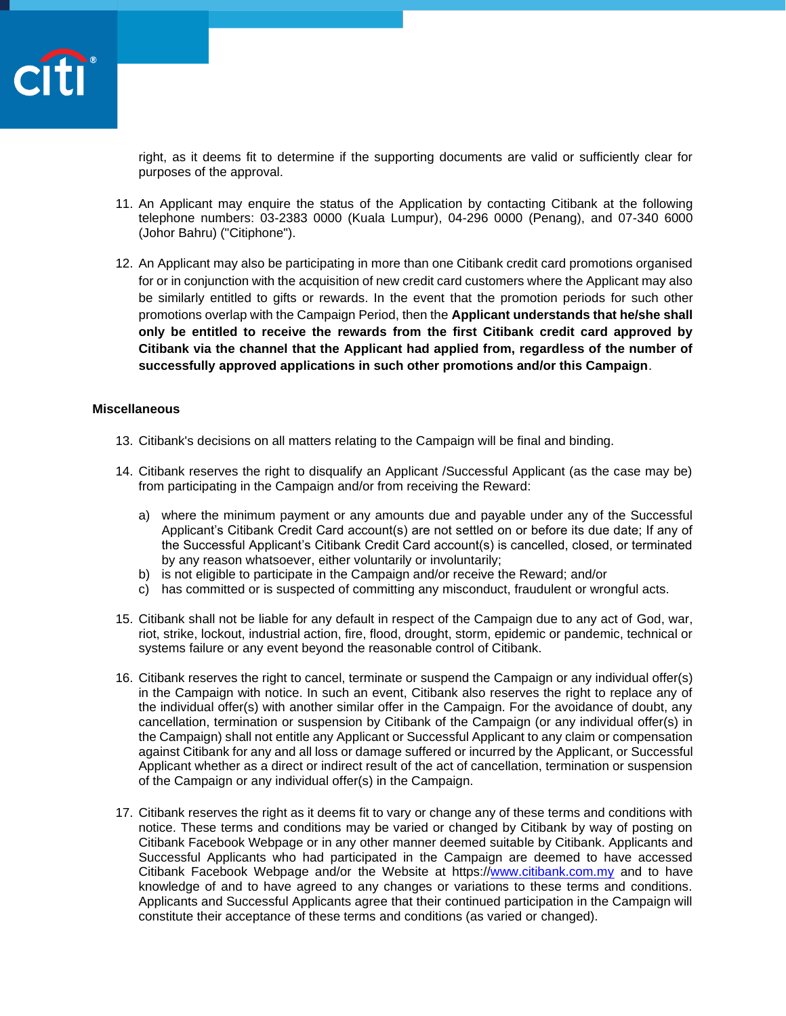

right, as it deems fit to determine if the supporting documents are valid or sufficiently clear for purposes of the approval.

- 11. An Applicant may enquire the status of the Application by contacting Citibank at the following telephone numbers: 03-2383 0000 (Kuala Lumpur), 04-296 0000 (Penang), and 07-340 6000 (Johor Bahru) ("Citiphone").
- 12. An Applicant may also be participating in more than one Citibank credit card promotions organised for or in conjunction with the acquisition of new credit card customers where the Applicant may also be similarly entitled to gifts or rewards. In the event that the promotion periods for such other promotions overlap with the Campaign Period, then the **Applicant understands that he/she shall only be entitled to receive the rewards from the first Citibank credit card approved by Citibank via the channel that the Applicant had applied from, regardless of the number of successfully approved applications in such other promotions and/or this Campaign**.

#### **Miscellaneous**

- 13. Citibank's decisions on all matters relating to the Campaign will be final and binding.
- 14. Citibank reserves the right to disqualify an Applicant /Successful Applicant (as the case may be) from participating in the Campaign and/or from receiving the Reward:
	- a) where the minimum payment or any amounts due and payable under any of the Successful Applicant's Citibank Credit Card account(s) are not settled on or before its due date; If any of the Successful Applicant's Citibank Credit Card account(s) is cancelled, closed, or terminated by any reason whatsoever, either voluntarily or involuntarily;
	- b) is not eligible to participate in the Campaign and/or receive the Reward; and/or
	- c) has committed or is suspected of committing any misconduct, fraudulent or wrongful acts.
- 15. Citibank shall not be liable for any default in respect of the Campaign due to any act of God, war, riot, strike, lockout, industrial action, fire, flood, drought, storm, epidemic or pandemic, technical or systems failure or any event beyond the reasonable control of Citibank.
- 16. Citibank reserves the right to cancel, terminate or suspend the Campaign or any individual offer(s) in the Campaign with notice. In such an event, Citibank also reserves the right to replace any of the individual offer(s) with another similar offer in the Campaign. For the avoidance of doubt, any cancellation, termination or suspension by Citibank of the Campaign (or any individual offer(s) in the Campaign) shall not entitle any Applicant or Successful Applicant to any claim or compensation against Citibank for any and all loss or damage suffered or incurred by the Applicant, or Successful Applicant whether as a direct or indirect result of the act of cancellation, termination or suspension of the Campaign or any individual offer(s) in the Campaign.
- 17. Citibank reserves the right as it deems fit to vary or change any of these terms and conditions with notice. These terms and conditions may be varied or changed by Citibank by way of posting on Citibank Facebook Webpage or in any other manner deemed suitable by Citibank. Applicants and Successful Applicants who had participated in the Campaign are deemed to have accessed Citibank Facebook Webpage and/or the Website at https:/[/www.citibank.com.my](http://www.citibank.com.my/) and to have knowledge of and to have agreed to any changes or variations to these terms and conditions. Applicants and Successful Applicants agree that their continued participation in the Campaign will constitute their acceptance of these terms and conditions (as varied or changed).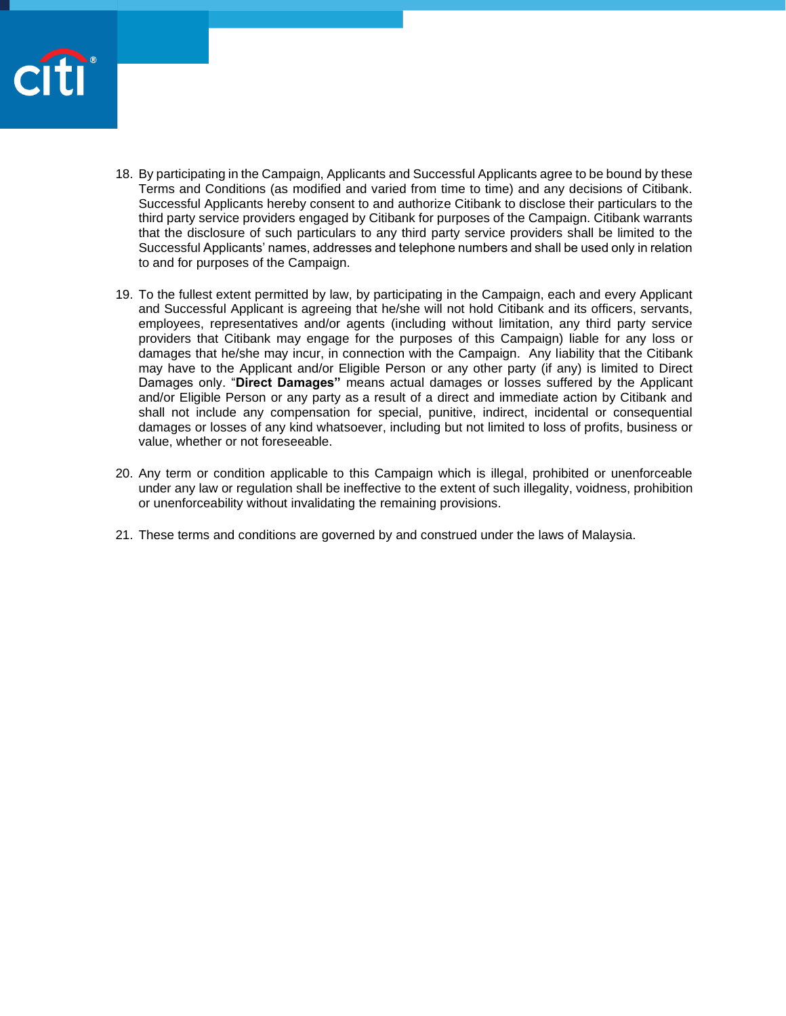

- 18. By participating in the Campaign, Applicants and Successful Applicants agree to be bound by these Terms and Conditions (as modified and varied from time to time) and any decisions of Citibank. Successful Applicants hereby consent to and authorize Citibank to disclose their particulars to the third party service providers engaged by Citibank for purposes of the Campaign. Citibank warrants that the disclosure of such particulars to any third party service providers shall be limited to the Successful Applicants' names, addresses and telephone numbers and shall be used only in relation to and for purposes of the Campaign.
- 19. To the fullest extent permitted by law, by participating in the Campaign, each and every Applicant and Successful Applicant is agreeing that he/she will not hold Citibank and its officers, servants, employees, representatives and/or agents (including without limitation, any third party service providers that Citibank may engage for the purposes of this Campaign) liable for any loss or damages that he/she may incur, in connection with the Campaign. Any liability that the Citibank may have to the Applicant and/or Eligible Person or any other party (if any) is limited to Direct Damages only. "**Direct Damages"** means actual damages or losses suffered by the Applicant and/or Eligible Person or any party as a result of a direct and immediate action by Citibank and shall not include any compensation for special, punitive, indirect, incidental or consequential damages or losses of any kind whatsoever, including but not limited to loss of profits, business or value, whether or not foreseeable.
- 20. Any term or condition applicable to this Campaign which is illegal, prohibited or unenforceable under any law or regulation shall be ineffective to the extent of such illegality, voidness, prohibition or unenforceability without invalidating the remaining provisions.
- 21. These terms and conditions are governed by and construed under the laws of Malaysia.